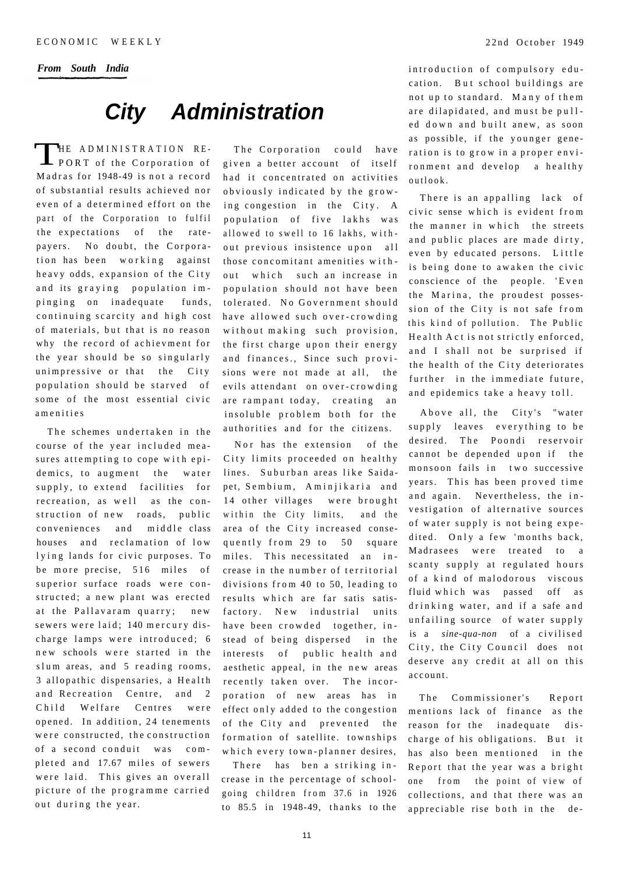*From South India* 

## **City Administration**

T HE ADMINISTRATION RE-L PORT of the Corporation of Madras for 1948-49 is not a record of substantial results achieved nor even of a determined effort on the part of the Corporation to fulfil the expectations of the ratepayers. No doubt, the Corporation has been working against heavy odds, expansion of the City and its graying population impinging on inadequate funds, continuing scarcity and high cost of materials, but that is no reason why the record of achievment for the year should be so singularly unimpressive or that the City population should be starved of some of the most essential civic amenitie s

The schemes undertaken in the course of the year included measures attempting to cope with epidemics, to augment the water supply, to extend facilities for recreation, as well as the construction of new roads, public conveniences and middle class houses and reclamation of low lying lands for civic purposes. To be more precise, 516 miles of superior surface roads were constructed; a new plant was erected at the Pallavaram quarry; new sewers were laid; 140 mercury discharge lamps were introduced; 6 new schools were started in the slum areas, and 5 reading rooms, 3 allopathic dispensaries, a Health and Recreation Centre, and 2 Child Welfare Centres were opened. In addition, 24 tenements were constructed, the construction of a second conduit was completed and 17.67 miles of sewers were laid. This gives an overall picture of the programme carried out during the year.

The Corporation could have given a better account of itself had it concentrated on activities obviously indicated by the growing congestion in the City. A population of five lakhs was allowed to swell to 16 lakhs, without previous insistence upon all those concomitant amenities without which such an increase in population should not have been tolerated. No Government should have allowed such over-crowding without making such provision, the first charge upon their energy and finances., Since such provisions were not made at all, the evils attendant on over-crowding are rampant today, creating an insoluble problem both for the authorities and for the citizens.

Nor has the extension of the City limits proceeded on healthy lines. Suburban areas like Saidapet, Sembium, Aminjikaria and 14 other villages were brought within the City limits, and the area of the City increased consequently from  $29$  to  $50$  square miles. This necessitated an increase in the number of territorial divisions from 40 to 50, leading to results which are far satis satisfactory. New industrial units have been crowded together, instead of being dispersed in the interests of public health and aesthetic appeal, in the new areas recently taken over. The incorporation of new areas has in effect only added to the congestion of the City and prevented the formation of satellite. townships which every town-planner desires,

There has ben a striking increase in the percentage of schoolgoing children from 37.6 in 1926 to  $85.5$  in 1948-49, thanks to the

introduction of compulsory education. But school buildings are not up to standard. Many of them are dilapidated, and must be pulled down and built anew, as soon as possible, if the younger generation is to grow in a proper environment and develop a healthy outlook .

There is an appalling lack of civic sense which is evident from the manner in which the streets and public places are made dirty, even by educated persons. Little is being done to awaken the civic conscience of the people. 'Even the Marina, the proudest possession of the City is not safe from this kind of pollution. The Public Health Act is not strictly enforced, and I shall not be surprised if the health of the City deteriorates further in the immediate future, and epidemics take a heavy toll.

Above all, the City's "water supply leaves everything to be desired. The Poondi reservoir cannot be depended upon if the monsoon fails in two successive years. This has been proved time and again. Nevertheless, the investigation of alternative sources of water supply is not being expedited. Only a few 'months back, Madrasees were treated to a scanty supply at regulated hours of a kind of malodorous viscous fluid which was passed off as drinking water, and if a safe and unfailing source of water supply is a *sine-qua-non* of a civilise d City, the City Council does not deserve any credit at all on this account.

The Commissioner's Report mentions lack of finance as the reason for the inadequate discharge of his obligations. But it has also been mentioned in the Report that the year was a bright one from the point of view of collections, and that there was an appreciable rise both in the de-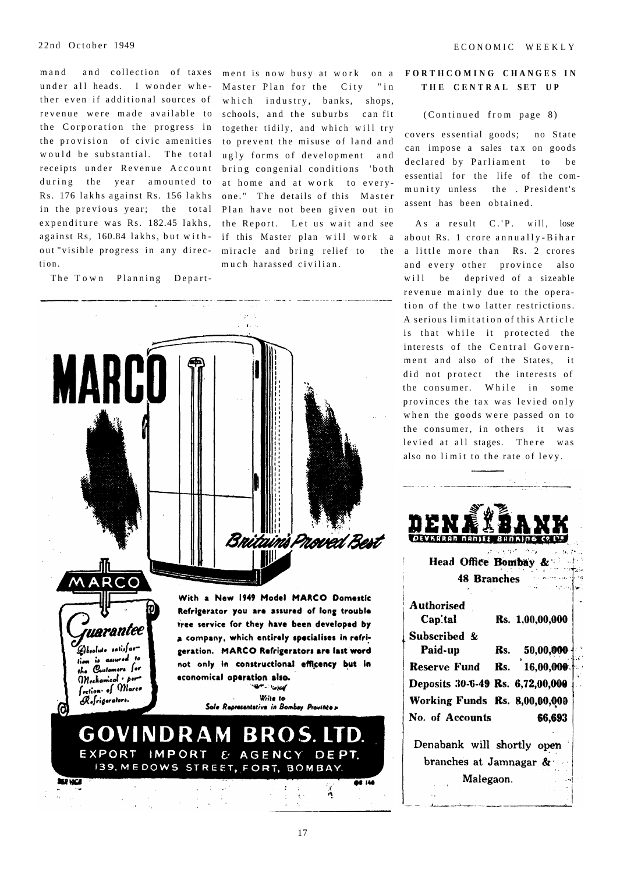ther even if additional sources of revenue were made available to the Corporation the progress in the provision of civic amenities would be substantial. The total receipts under Revenue Account during the year amounted to in the previous year; the total expenditure was Rs. 182.45 lakhs, tion .

The Town Planning Depart-

mand and collection of taxes ment is now busy at work on a under all heads. I wonder whe - Master Plan for the City "in Rs. 176 lakhs against Rs. 156 lakhs one." The details of this Master against Rs, 160.84 lakhs, but with - if this Master plan will work a out "visible progress in any direc- miracle and bring relief to the which industry, banks, shops, schools, and the suburbs can fit together tidily, and which will try to prevent the misuse of land and ugly forms of development and bring congenial conditions 'both at home and at work to every-Plan have not been given out in the Report. Let us wait and see muc h harassed civilian .



### **FORTHCOMIN G CHANGE S I N T H E CENTRA L SE T U P**

### (Continued from page 8)

covers essential goods; no State can impose a sales tax on goods declared by Parliament to be essential for the life of the community unless the . President's assent has been obtained.

As a result C.'P. will, lose about Rs. 1 crore annually-Bihar a little more than Rs. 2 crores and every other province also will be deprived of a sizeable revenue mainly due to the operation of the two latter restrictions. A serious limitation of this Article is that while it protected the interests of the Central Government and also of the States, it did not protect the interests of the consumer. While in some provinces the tax was levied only when the goods were passed on to the consumer, in others it was levied at all stages. There was also no limit to the rate of levy.

| <u>D</u> ENÅÎBANK                                          |
|------------------------------------------------------------|
| <b>DEVKARAN NANISE BANKING CRIVE</b>                       |
| administration of the contract and<br>Head Office Bombay & |

**48 Branches** 

| <b>Authorised</b><br>Cap'tal         |     | Rs. 1,00,00,000 |  |
|--------------------------------------|-----|-----------------|--|
| Subscribed &                         |     |                 |  |
| Paid-up                              | Rs. | 50,00,000       |  |
| <b>Reserve Fund</b>                  | Rs. | 16,00,000       |  |
| Deposits 30-6-49 Rs. 6,72,00,000     |     |                 |  |
| <b>Working Funds Rs. 8,00,00,000</b> |     |                 |  |
| No. of Accounts                      |     | 66,693          |  |
| Denabank will shortly open           |     |                 |  |
| branches at Jamnagar &               |     |                 |  |
| Malegaon.                            |     |                 |  |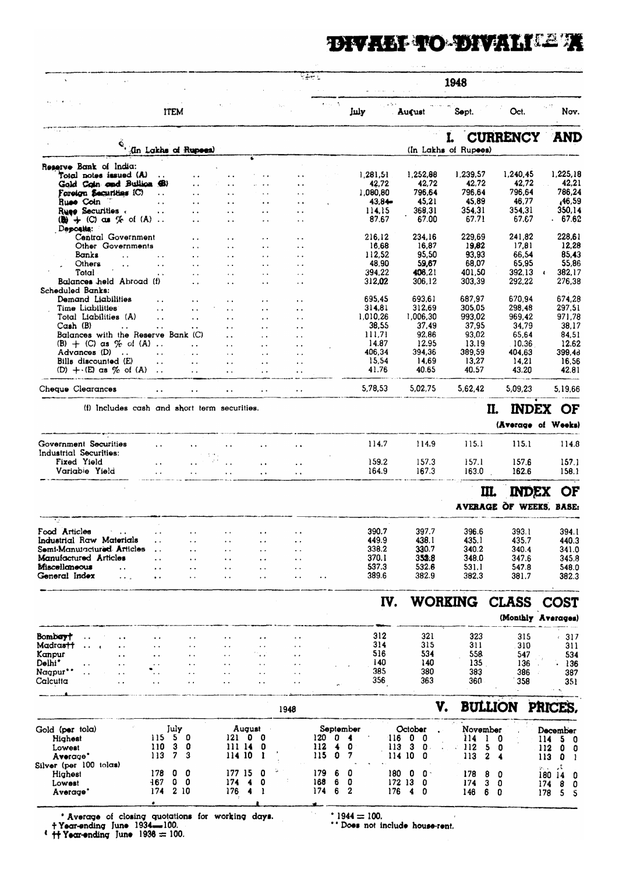# DIVALI TO DIVALITE T

|                                                                                   |                        |                    |                                              |                                              |                                              |                             | 网络地名                 |           |                   |                        | 1948                 |                         |                                                        |
|-----------------------------------------------------------------------------------|------------------------|--------------------|----------------------------------------------|----------------------------------------------|----------------------------------------------|-----------------------------|----------------------|-----------|-------------------|------------------------|----------------------|-------------------------|--------------------------------------------------------|
|                                                                                   |                        | <b>ITEM</b>        |                                              |                                              |                                              |                             | <b>Contractor</b>    | July      |                   | Aucust                 | Sopt.                | Oct.                    | Nov.                                                   |
|                                                                                   |                        |                    |                                              |                                              |                                              |                             |                      |           |                   |                        |                      | <b>CURRENCY</b>         | AND                                                    |
|                                                                                   |                        |                    | (In Lakhs of Rupees)                         |                                              |                                              |                             |                      |           |                   |                        | (In Lakhs of Rupees) |                         |                                                        |
| Reserve Bank of India:                                                            |                        |                    |                                              |                                              |                                              |                             |                      |           |                   |                        |                      |                         |                                                        |
| Total notes issued (A)<br>Gold Cain and Builion (B)                               | $\ldots$               |                    | $\ddot{\phantom{a}}$<br>$\ddot{\phantom{a}}$ | $\ddot{\phantom{0}}$<br>$\ddot{\phantom{a}}$ |                                              |                             |                      |           | 1,281,51<br>42,72 | 1,252,88<br>42,72      | 1,239,57<br>42,72    | 1,240,45<br>42,72       | 1,225,18<br>42,21                                      |
| Foreign Securities (C)                                                            | $\ddot{\phantom{a}}$   |                    | $\sim$ $\sim$                                | $\sim$ $\sim$                                |                                              | $\ddot{\phantom{0}}$        |                      |           | 1,080,80          | 796,64                 | 796,64               | 796,64                  | 786,24                                                 |
| Ruse Coin                                                                         | $\ddot{\phantom{a}}$   |                    | $\ddot{\phantom{a}}$                         | $\ddot{\phantom{a}}$                         |                                              |                             |                      |           | 43.84             | 45,21                  | 45,89                | 46,77                   | ,46,59                                                 |
| Rues Securities<br>$\mathbf{Q}$ + $\mathbf{C}$ as $\mathcal{C}$ of $\mathbf{A}$ . | $\ddot{\phantom{a}}$   |                    | $\sim$<br>$\ddot{\phantom{a}}$               | $\sim$                                       | $\ddot{\phantom{0}}$                         | $\ddot{\phantom{0}}$<br>. . |                      |           | 114,15<br>87.67   | 368,31<br>67.00        | 354.31<br>67.71      | 354,31<br>67.67         | 350.14<br>. 67.62                                      |
| Deposits:                                                                         |                        |                    |                                              |                                              |                                              |                             |                      |           |                   |                        |                      |                         |                                                        |
| Central Government                                                                |                        |                    |                                              | $\ddot{\phantom{0}}$                         |                                              | $\ddot{\phantom{a}}$        |                      |           | 216,12            | 234,16                 | 229,69<br>19,82      | 241.82<br>17,81         | 228,61<br>12,28                                        |
| Other Governments<br>Banks<br>$\sim$ $\sim$                                       | $\sim$ $\sim$          |                    | $\sim$ $\sim$<br>$\ddot{\phantom{a}}$        | $\ddot{\phantom{a}}$<br>$\ddot{\phantom{a}}$ | $\ddot{\phantom{a}}$                         | $\ddot{\phantom{0}}$        |                      |           | 16,68<br>112,52   | 16,87<br>95,50         | 93,93                | 66.54                   | 85,43                                                  |
| Others<br>$\ddot{\phantom{a}}$                                                    | $\ddot{\phantom{a}}$   |                    | $\ddot{\phantom{a}}$                         | $\ddot{\phantom{a}}$ .                       |                                              |                             |                      |           | 48,90             | 59,67                  | 68,07                | 65,95                   | 55,86                                                  |
| Total                                                                             |                        |                    | $\sim$ $\sim$                                | $\ddot{\phantom{a}}$                         |                                              | $\ddot{\phantom{a}}$        |                      |           | 394,22            | 406.21                 | 401,50               | 392,13                  | 382,17<br>$\cdot$                                      |
| Balances held Abroad (f)<br>Scheduled Banks:                                      |                        |                    |                                              |                                              |                                              |                             |                      |           | 312,02            | 306,12                 | 303,39               | 292.22                  | 276,38                                                 |
| Demand Liabilities                                                                | $\ddotsc$              |                    |                                              | $\ddot{\phantom{a}}$                         |                                              | $\ddot{\phantom{a}}$        |                      |           | 695,45            | 693,61                 | 687,97               | 670.94                  | 674,28                                                 |
| Time Liabilittes                                                                  | $\ddotsc$              |                    |                                              | $\ddot{\phantom{a}}$                         |                                              | $\ddot{\phantom{0}}$        |                      |           | 314,81            | 312,69                 | 305,05               | 298,48                  | 297,51                                                 |
| Total Liabilities (A)<br>Cash (B)                                                 | $\ddot{\phantom{a}}$ . |                    | $\ddot{\phantom{a}}$ .                       | $\ddot{\phantom{a}}$                         | $\ddot{\phantom{a}}$                         | $\ddot{\phantom{a}}$        |                      |           | 1,010,26<br>38,55 | 1,006,30<br>37,49      | 993,02<br>37,95      | 969,42<br>34,79         | 971,78<br>38,17                                        |
| $\ddot{\phantom{0}}$<br>Balances with the Reserve Bank (C)                        | $\ddot{\phantom{a}}$   |                    | $\ddot{\phantom{0}}$                         | $\ddot{\phantom{a}}$<br>$\ddot{\phantom{a}}$ | $\ddot{\phantom{0}}$<br>$\ddot{\phantom{a}}$ | $\ddot{\phantom{a}}$        |                      |           | 111,71            | 92,86                  | 93,02                | 65,64                   | 84,51                                                  |
| $(B) + (C)$ as $\%$ of $(A)$ .                                                    |                        |                    | $\ddot{\phantom{a}}$                         | $\ddot{\phantom{a}}$                         |                                              | $\ddot{\phantom{0}}$        |                      |           | 14.87             | 12.95                  | 13.19                | . 10.36                 | 12.62                                                  |
| Advances (D)                                                                      | $\ddot{\phantom{a}}$   |                    | $\ddot{\phantom{a}}$                         | $\ddot{\phantom{0}}$                         |                                              | $\ddot{\phantom{0}}$        |                      |           | 406,34            | 394,36                 | 389,59               | 404,63                  | 399,48                                                 |
| Bills discounted (E)<br>$(D) + (E)$ as $\%$ of $(A)$ .                            | $\ddot{\phantom{a}}$   |                    | $\ddot{\phantom{a}}$<br>$\ddot{\phantom{a}}$ | $\ddot{\phantom{a}}$<br>$\ddot{\phantom{1}}$ | $\ddot{\phantom{a}}$                         | $\ddot{\phantom{1}}$        |                      |           | 15,54<br>41.76    | 14.69<br>40.65         | 13,27<br>40.57       | 14.21<br>43.20          | 16.56<br>42.81                                         |
| Cheque Clearances                                                                 |                        |                    |                                              |                                              |                                              |                             |                      |           | 5,78,53           | 5,02,75                | 5,62,42              | 5,09,23                 | 5,19,66                                                |
|                                                                                   |                        |                    |                                              |                                              |                                              | $\ddot{\phantom{1}}$        |                      |           |                   |                        |                      |                         |                                                        |
| (i) Includes cash and short term securities.                                      |                        |                    |                                              |                                              |                                              |                             |                      |           |                   |                        |                      | II.<br><b>INDEX</b>     | <b>OF</b>                                              |
|                                                                                   |                        |                    |                                              |                                              |                                              |                             |                      |           |                   |                        |                      |                         | (Average of Weeks)                                     |
| Government Securities                                                             | $\ddot{\phantom{a}}$   |                    |                                              |                                              |                                              |                             |                      |           | 114.7             | 114.9                  | 115.1                | 115.1                   | 114.8                                                  |
| Industrial Securities:                                                            |                        |                    | 3.9%                                         |                                              |                                              |                             |                      |           |                   |                        |                      |                         |                                                        |
| Fixed Yield                                                                       | $\ddot{\phantom{a}}$   |                    |                                              |                                              | $\ddot{\phantom{1}}$                         | $\ddot{\phantom{0}}$        |                      |           | 159.2             | 157.3                  | 157.1                | 157.6                   | 157.1                                                  |
| Variable Yield                                                                    |                        |                    | $\ddot{\phantom{0}}$                         |                                              | $\ddot{\phantom{0}}$                         | $\ddot{\phantom{0}}$        |                      |           | 164.9             | 167.3                  | 163.0                | 162.6                   | 158.1                                                  |
|                                                                                   |                        |                    |                                              |                                              |                                              |                             |                      |           |                   |                        |                      | <b>INDEX</b><br>Щ.      | ОF                                                     |
|                                                                                   |                        |                    |                                              |                                              |                                              |                             |                      |           |                   |                        |                      | AVERAGE OF WEEKS, BASE: |                                                        |
|                                                                                   |                        |                    |                                              |                                              |                                              |                             |                      |           |                   |                        |                      |                         |                                                        |
| Food Articles<br>Industrial Raw Materials                                         |                        |                    |                                              |                                              |                                              |                             |                      |           | 390.7             | 397.7                  | 396.6                | 393.1                   | 394.1                                                  |
| Semi-Manutactured Articles                                                        |                        |                    |                                              | . .                                          | $\ddot{\phantom{1}}$                         |                             |                      |           | 449.9<br>338.2    | 438.1<br>330.7         | 435.1<br>340.2       | 435.7<br>340.4          | 440.3<br>341.0                                         |
| Manufactured Articles                                                             |                        |                    |                                              | . .                                          | $\ddot{\phantom{0}}$                         |                             |                      |           | 370.1             | 352.8                  | 348.0                | 347.6                   | 345.8                                                  |
| Miscellaneous<br>. .                                                              | . .                    |                    | $\blacksquare$                               | ٠.                                           | $\ddot{\phantom{1}}$                         | . .                         |                      |           | 537.3             | 532.6                  | 531.1                | 547.8                   | 548.0                                                  |
| General Index<br>$\cdot$ .                                                        | $\ddot{\phantom{1}}$   |                    | $\ddot{\phantom{0}}$                         | . .                                          | $\ddot{\phantom{a}}$                         |                             |                      |           | 389.6             | 382.9                  | 382.3                | 381.7                   | 382.3                                                  |
|                                                                                   |                        |                    |                                              |                                              |                                              |                             |                      |           | IV.               |                        | WORKING              | <b>CLASS</b>            | <b>COST</b>                                            |
|                                                                                   |                        |                    |                                              |                                              |                                              |                             |                      |           |                   |                        |                      |                         | (Monthly Averages)                                     |
|                                                                                   |                        |                    |                                              |                                              |                                              |                             |                      |           |                   |                        |                      |                         |                                                        |
| Bombay†<br>Madrastt                                                               |                        |                    |                                              |                                              |                                              |                             |                      |           | 312<br>314        | 321<br>315             | 323<br>311           | 315<br>310              | $-317$<br>311                                          |
| Kanpur                                                                            |                        |                    |                                              |                                              |                                              | . .                         |                      |           | 516               | 534                    | 558                  | 547                     | 534                                                    |
| Delhi*                                                                            |                        |                    |                                              | $\ddot{\phantom{0}}$                         |                                              |                             |                      |           | 140               | 140                    | 135.                 | 136                     | . 136                                                  |
| Nagpur''<br>. .<br>Calcutta                                                       |                        |                    |                                              | $\ddot{\phantom{1}}$                         | $\ddot{\phantom{0}}$                         |                             |                      |           | 385<br>356        | 380<br>363             | 383<br>360           | 386<br>358              | 387                                                    |
| i.                                                                                |                        |                    |                                              |                                              |                                              |                             |                      |           |                   |                        |                      |                         | 351                                                    |
|                                                                                   |                        |                    |                                              |                                              |                                              | 1948                        |                      |           |                   |                        | V.                   | <b>BULLION</b>          | PRICES,                                                |
| Gold (per tola)                                                                   |                        | July               |                                              | August                                       |                                              |                             |                      | September |                   | October                | November             |                         | December                                               |
| Highest                                                                           |                        | 115 5 0            |                                              | 121 0 0                                      |                                              |                             | 120<br>0             | 4         | 116               | 0<br>0                 | 114                  | 1<br>0                  | 114<br>5.<br>- 0                                       |
| Lowest<br>Average"                                                                | 110<br>113             | 3<br>7             | 0<br>3                                       | 111 14<br>114 10                             | 0                                            |                             | 112<br>4<br>115<br>o | 0<br>7    | 113<br>114        | 3<br>0.<br>10<br>0     | 112<br>113           | 5<br>O<br>2<br>4        | 112<br>$\mathbf{0}$<br>- 0                             |
|                                                                                   |                        |                    |                                              |                                              |                                              |                             |                      |           |                   |                        |                      |                         | 113<br>0<br>- 1<br>ء.<br>$\mathcal{D}_{\mathcal{F}}$ . |
|                                                                                   |                        |                    |                                              |                                              |                                              |                             |                      |           |                   |                        |                      |                         |                                                        |
| Silver (per 100 tolas)<br>Highest                                                 | 178                    | 0<br>0             |                                              | 177 15                                       | 0                                            |                             | 179<br>6             | 0         | 180 -             | 0<br>0.                | 178                  | 8<br>0                  | 180 14<br>- 0                                          |
| Lowest<br>Average'                                                                | $-167$<br>174          | $0\quad 0$<br>2 10 |                                              | 174<br>176                                   | 4<br>0<br>4<br>-1                            |                             | 168<br>6<br>174<br>6 | 0<br>2    | 176               | 172 13<br>0<br>4.<br>0 | 174<br>146<br>6      | з<br>0<br>0             | 174<br>8<br>- 0<br>178<br>5<br>- 5                     |

\* Average of closing quotations for working days.<br>
+ Year-ending June 1934-100.<br>
\* + Year-ending June 1936 = 100.

\*  $1944 = 100$ .<br>\*\* Does not include house-rent.